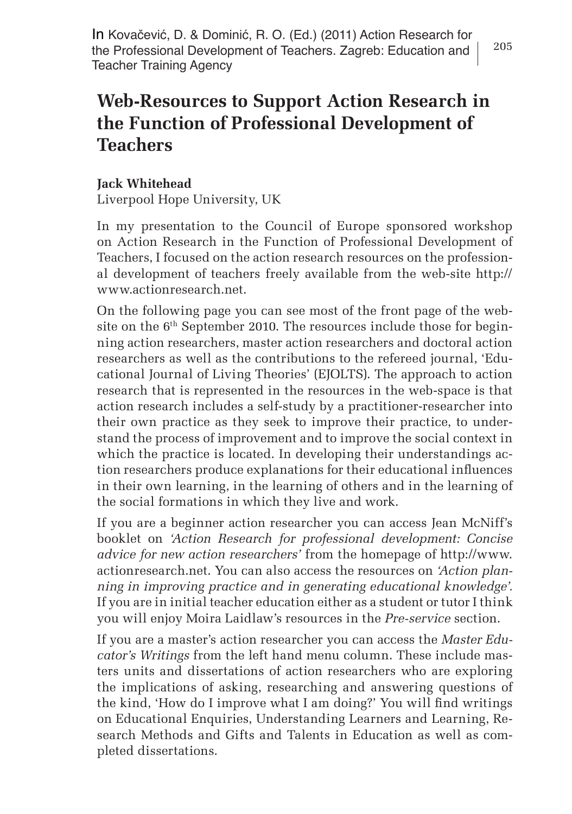In Kovačević, D. & Dominić, R. O. (Ed.) (2011) Action Research for the Professional Development of Teachers. Zagreb: Education and Teacher Training Agency

## **Web-Resources to Support Action Research in the Function of Professional Development of Teachers**

## **Jack Whitehead**

Liverpool Hope University, UK

In my presentation to the Council of Europe sponsored workshop on Action Research in the Function of Professional Development of Teachers, I focused on the action research resources on the professional development of teachers freely available from the web-site http:// www.actionresearch.net.

On the following page you can see most of the front page of the website on the 6<sup>th</sup> September 2010. The resources include those for beginning action researchers, master action researchers and doctoral action researchers as well as the contributions to the refereed journal, 'Educational Journal of Living Theories' (EJOLTS). The approach to action research that is represented in the resources in the web-space is that action research includes a self-study by a practitioner-researcher into their own practice as they seek to improve their practice, to understand the process of improvement and to improve the social context in which the practice is located. In developing their understandings action researchers produce explanations for their educational influences in their own learning, in the learning of others and in the learning of the social formations in which they live and work.

If you are a beginner action researcher you can access Jean McNiff's booklet on *'Action Research for professional development: Concise advice for new action researchers'* from the homepage of http://www. actionresearch.net. You can also access the resources on *'Action planning in improving practice and in generating educational knowledge'.*  If you are in initial teacher education either as a student or tutor I think you will enjoy Moira Laidlaw's resources in the *Pre-service* section.

If you are a master's action researcher you can access the *Master Educator's Writings* from the left hand menu column. These include masters units and dissertations of action researchers who are exploring the implications of asking, researching and answering questions of the kind, 'How do I improve what I am doing?' You will find writings on Educational Enquiries, Understanding Learners and Learning, Research Methods and Gifts and Talents in Education as well as completed dissertations.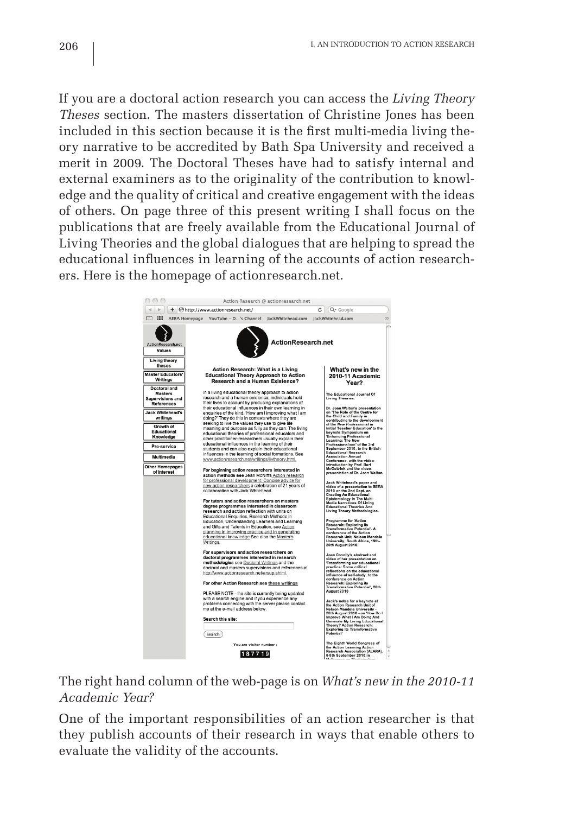If you are a doctoral action research you can access the *Living Theory Theses* section. The masters dissertation of Christine Jones has been included in this section because it is the first multi-media living theory narrative to be accredited by Bath Spa University and received a merit in 2009. The Doctoral Theses have had to satisfy internal and external examiners as to the originality of the contribution to knowledge and the quality of critical and creative engagement with the ideas of others. On page three of this present writing I shall focus on the publications that are freely available from the Educational Journal of Living Theories and the global dialogues that are helping to spread the educational influences in learning of the accounts of action researchers. Here is the homepage of actionresearch.net.



The right hand column of the web-page is on *What's new in the 2010-11 Academic Year?*

One of the important responsibilities of an action researcher is that they publish accounts of their research in ways that enable others to evaluate the validity of the accounts.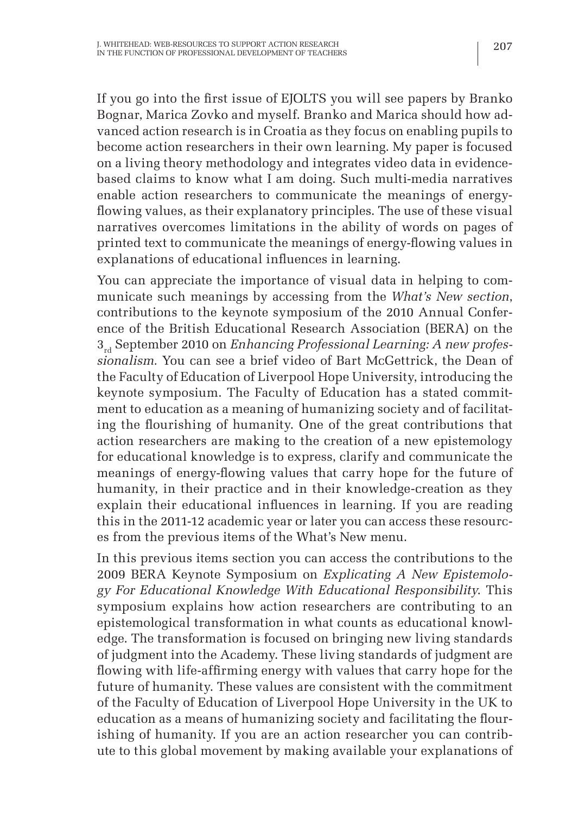If you go into the first issue of EJOLTS you will see papers by Branko Bognar, Marica Zovko and myself. Branko and Marica should how advanced action research is in Croatia as they focus on enabling pupils to become action researchers in their own learning. My paper is focused on a living theory methodology and integrates video data in evidencebased claims to know what I am doing. Such multi-media narratives enable action researchers to communicate the meanings of energyflowing values, as their explanatory principles. The use of these visual narratives overcomes limitations in the ability of words on pages of printed text to communicate the meanings of energy-flowing values in explanations of educational influences in learning.

You can appreciate the importance of visual data in helping to communicate such meanings by accessing from the *What's New section*, contributions to the keynote symposium of the 2010 Annual Conference of the British Educational Research Association (BERA) on the 3<sub>rd</sub> September 2010 on *Enhancing Professional Learning: A new professionalism.* You can see a brief video of Bart McGettrick, the Dean of the Faculty of Education of Liverpool Hope University, introducing the keynote symposium. The Faculty of Education has a stated commitment to education as a meaning of humanizing society and of facilitating the flourishing of humanity. One of the great contributions that action researchers are making to the creation of a new epistemology for educational knowledge is to express, clarify and communicate the meanings of energy-flowing values that carry hope for the future of humanity, in their practice and in their knowledge-creation as they explain their educational influences in learning. If you are reading this in the 2011-12 academic year or later you can access these resources from the previous items of the What's New menu.

In this previous items section you can access the contributions to the 2009 BERA Keynote Symposium on *Explicating A New Epistemology For Educational Knowledge With Educational Responsibility*. This symposium explains how action researchers are contributing to an epistemological transformation in what counts as educational knowledge. The transformation is focused on bringing new living standards of judgment into the Academy. These living standards of judgment are flowing with life-affirming energy with values that carry hope for the future of humanity. These values are consistent with the commitment of the Faculty of Education of Liverpool Hope University in the UK to education as a means of humanizing society and facilitating the flourishing of humanity. If you are an action researcher you can contribute to this global movement by making available your explanations of